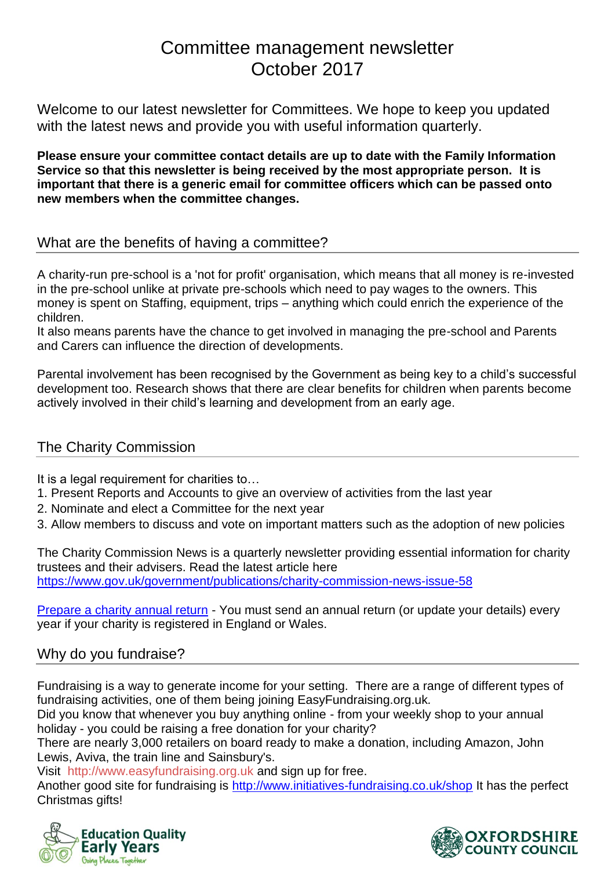# Committee management newsletter October 2017

Welcome to our latest newsletter for Committees. We hope to keep you updated with the latest news and provide you with useful information quarterly.

**Please ensure your committee contact details are up to date with the Family Information Service so that this newsletter is being received by the most appropriate person. It is important that there is a generic email for committee officers which can be passed onto new members when the committee changes.**

## What are the benefits of having a committee?

A charity-run pre-school is a 'not for profit' organisation, which means that all money is re-invested in the pre-school unlike at private pre-schools which need to pay wages to the owners. This money is spent on Staffing, equipment, trips – anything which could enrich the experience of the children.

It also means parents have the chance to get involved in managing the pre-school and Parents and Carers can influence the direction of developments.

Parental involvement has been recognised by the Government as being key to a child's successful development too. Research shows that there are clear benefits for children when parents become actively involved in their child's learning and development from an early age.

# The Charity Commission

It is a legal requirement for charities to...

- 1. Present Reports and Accounts to give an overview of activities from the last year
- 2. Nominate and elect a Committee for the next year
- 3. Allow members to discuss and vote on important matters such as the adoption of new policies

The Charity Commission News is a quarterly newsletter providing essential information for charity trustees and their advisers. Read the latest article here <https://www.gov.uk/government/publications/charity-commission-news-issue-58>

[Prepare a charity annual return](http://links.govdelivery.com/track?type=click&enid=ZWFzPTEmbXNpZD0mYXVpZD0mbWFpbGluZ2lkPTIwMTcxMDA2Ljc5MTIyMzExJm1lc3NhZ2VpZD1NREItUFJELUJVTC0yMDE3MTAwNi43OTEyMjMxMSZkYXRhYmFzZWlkPTEwMDEmc2VyaWFsPTE3MTI2NjUxJmVtYWlsaWQ9cGF1bGEubG9jaHJpZUBveGZvcmRzaGlyZS5nb3YudWsmdXNlcmlkPXBhdWxhLmxvY2hyaWVAb3hmb3Jkc2hpcmUuZ292LnVrJnRhcmdldGlkPSZmbD0mbXZpZD0mZXh0cmE9JiYm&&&101&&&https://www.gov.uk/guidance/prepare-a-charity-annual-return) - You must send an annual return (or update your details) every year if your charity is registered in England or Wales.

# Why do you fundraise?

Fundraising is a way to generate income for your setting. There are a range of different types of fundraising activities, one of them being joining EasyFundraising.org.uk*.*

Did you know that whenever you buy anything online - from your weekly shop to your annual holiday - you could be raising a free donation for your charity?

There are nearly 3,000 retailers on board ready to make a donation, including Amazon, John Lewis, Aviva, the train line and Sainsbury's.

Visit [http://www.easyfundraising.org.uk](http://www.easyfundraising.org.uk/invite/2R6SYR) and sign up for free.

Another good site for fundraising is<http://www.initiatives-fundraising.co.uk/shop> It has the perfect Christmas gifts!



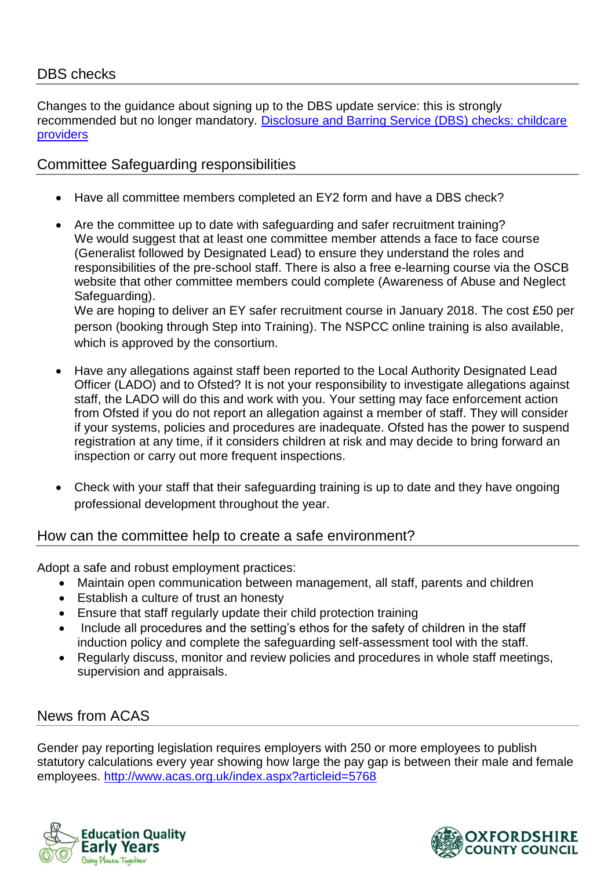# DBS checks

Changes to the guidance about signing up to the DBS update service: this is strongly recommended but no longer mandatory. [Disclosure and Barring Service \(DBS\) checks: childcare](http://links.govdelivery.com/track?type=click&enid=ZWFzPTEmbXNpZD0mYXVpZD0mbWFpbGluZ2lkPTIwMTcxMDA2Ljc5MTQxODExJm1lc3NhZ2VpZD1NREItUFJELUJVTC0yMDE3MTAwNi43OTE0MTgxMSZkYXRhYmFzZWlkPTEwMDEmc2VyaWFsPTE3MTI2OTY0JmVtYWlsaWQ9cGF1bGEubG9jaHJpZUBveGZvcmRzaGlyZS5nb3YudWsmdXNlcmlkPXBhdWxhLmxvY2hyaWVAb3hmb3Jkc2hpcmUuZ292LnVrJnRhcmdldGlkPSZmbD0mbXZpZD0mZXh0cmE9JiYm&&&101&&&https://www.gov.uk/government/publications/disclosure-and-barring-service-dbs-checks-for-childcare-providers-who-register-with-ofsted)  [providers](http://links.govdelivery.com/track?type=click&enid=ZWFzPTEmbXNpZD0mYXVpZD0mbWFpbGluZ2lkPTIwMTcxMDA2Ljc5MTQxODExJm1lc3NhZ2VpZD1NREItUFJELUJVTC0yMDE3MTAwNi43OTE0MTgxMSZkYXRhYmFzZWlkPTEwMDEmc2VyaWFsPTE3MTI2OTY0JmVtYWlsaWQ9cGF1bGEubG9jaHJpZUBveGZvcmRzaGlyZS5nb3YudWsmdXNlcmlkPXBhdWxhLmxvY2hyaWVAb3hmb3Jkc2hpcmUuZ292LnVrJnRhcmdldGlkPSZmbD0mbXZpZD0mZXh0cmE9JiYm&&&101&&&https://www.gov.uk/government/publications/disclosure-and-barring-service-dbs-checks-for-childcare-providers-who-register-with-ofsted)

## Committee Safeguarding responsibilities

- Have all committee members completed an EY2 form and have a DBS check?
- Are the committee up to date with safeguarding and safer recruitment training? We would suggest that at least one committee member attends a face to face course (Generalist followed by Designated Lead) to ensure they understand the roles and responsibilities of the pre-school staff. There is also a free e-learning course via the OSCB website that other committee members could complete (Awareness of Abuse and Neglect Safeguarding).

We are hoping to deliver an EY safer recruitment course in January 2018. The cost £50 per person (booking through Step into Training). The NSPCC online training is also available, which is approved by the consortium.

- Have any allegations against staff been reported to the Local Authority Designated Lead Officer (LADO) and to Ofsted? It is not your responsibility to investigate allegations against staff, the LADO will do this and work with you. Your setting may face enforcement action from Ofsted if you do not report an allegation against a member of staff. They will consider if your systems, policies and procedures are inadequate. Ofsted has the power to suspend registration at any time, if it considers children at risk and may decide to bring forward an inspection or carry out more frequent inspections.
- Check with your staff that their safeguarding training is up to date and they have ongoing professional development throughout the year.

### How can the committee help to create a safe environment?

Adopt a safe and robust employment practices:

- Maintain open communication between management, all staff, parents and children
- Establish a culture of trust an honesty
- Ensure that staff regularly update their child protection training
- Include all procedures and the setting's ethos for the safety of children in the staff induction policy and complete the safeguarding self-assessment tool with the staff.
- Regularly discuss, monitor and review policies and procedures in whole staff meetings, supervision and appraisals.

# News from ACAS

Gender pay reporting legislation requires employers with 250 or more employees to publish statutory calculations every year showing how large the pay gap is between their male and female employees. <http://www.acas.org.uk/index.aspx?articleid=5768>